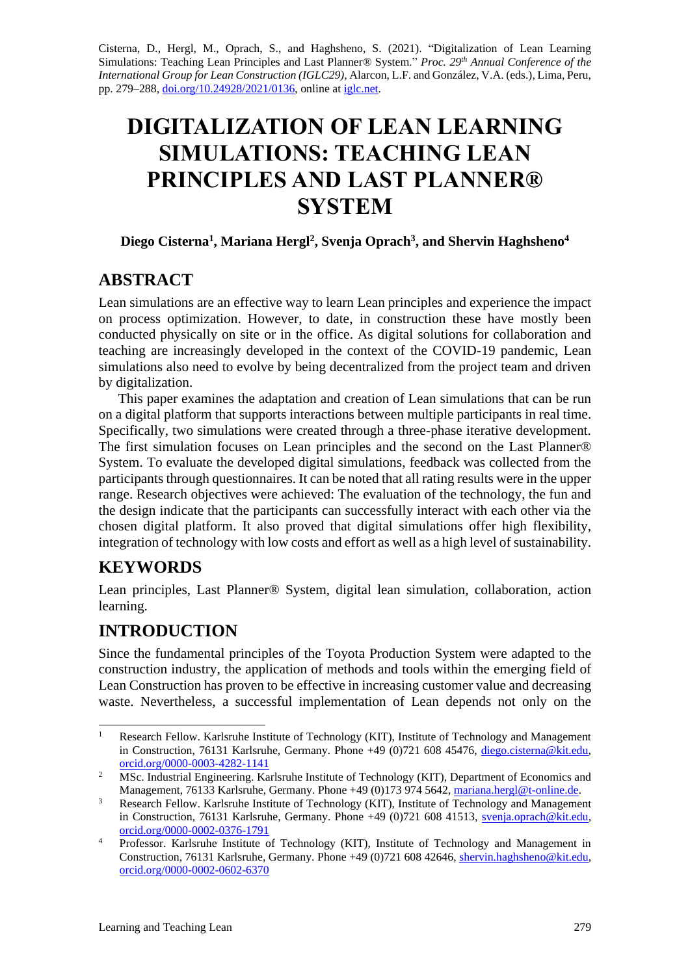Cisterna, D., Hergl, M., Oprach, S., and Haghsheno, S. (2021). "Digitalization of Lean Learning Simulations: Teaching Lean Principles and Last Planner® System." *Proc. 29 th Annual Conference of the International Group for Lean Construction (IGLC29),* Alarcon, L.F. and González, V.A. (eds.)*,* Lima, Peru, pp. 279–288, [doi.org/10.24928/2021/0136,](https://doi.org/10.24928/2021/0136) online a[t iglc.net.](http://iglc.net/)

# **DIGITALIZATION OF LEAN LEARNING SIMULATIONS: TEACHING LEAN PRINCIPLES AND LAST PLANNER® SYSTEM**

### **Diego Cisterna<sup>1</sup> , Mariana Hergl<sup>2</sup> , Svenja Oprach 3 , and Shervin Haghsheno<sup>4</sup>**

# **ABSTRACT**

Lean simulations are an effective way to learn Lean principles and experience the impact on process optimization. However, to date, in construction these have mostly been conducted physically on site or in the office. As digital solutions for collaboration and teaching are increasingly developed in the context of the COVID-19 pandemic, Lean simulations also need to evolve by being decentralized from the project team and driven by digitalization.

This paper examines the adaptation and creation of Lean simulations that can be run on a digital platform that supports interactions between multiple participants in real time. Specifically, two simulations were created through a three-phase iterative development. The first simulation focuses on Lean principles and the second on the Last Planner® System. To evaluate the developed digital simulations, feedback was collected from the participants through questionnaires. It can be noted that all rating results were in the upper range. Research objectives were achieved: The evaluation of the technology, the fun and the design indicate that the participants can successfully interact with each other via the chosen digital platform. It also proved that digital simulations offer high flexibility, integration of technology with low costs and effort as well as a high level of sustainability.

# **KEYWORDS**

Lean principles, Last Planner® System, digital lean simulation, collaboration, action learning.

# **INTRODUCTION**

Since the fundamental principles of the Toyota Production System were adapted to the construction industry, the application of methods and tools within the emerging field of Lean Construction has proven to be effective in increasing customer value and decreasing waste. Nevertheless, a successful implementation of Lean depends not only on the

<sup>&</sup>lt;sup>1</sup> Research Fellow. Karlsruhe Institute of Technology (KIT), Institute of Technology and Management in Construction, 76131 Karlsruhe, Germany. Phone +49 (0)721 608 45476, [diego.cisterna@kit.edu,](mailto:diego.cisterna@kit.edu) [orcid.org/0000-0003-4282-1141](https://orcid.org/0000-0003-4282-1141)

<sup>&</sup>lt;sup>2</sup> MSc. Industrial Engineering. Karlsruhe Institute of Technology (KIT), Department of Economics and Management, 76133 Karlsruhe, Germany. Phone +49 (0)173 974 5642[, mariana.hergl@t-online.de.](mailto:mariana.hergl@t-online.de)

<sup>&</sup>lt;sup>3</sup> Research Fellow. Karlsruhe Institute of Technology (KIT), Institute of Technology and Management in Construction, 76131 Karlsruhe, Germany. Phone +49 (0)721 608 41513, [svenja.oprach@kit.edu,](mailto:svenja.oprach@kit.edu) [orcid.org/0000-0002-0376-1791](https://orcid.org/0000-0002-0376-1791)

<sup>&</sup>lt;sup>4</sup> Professor. Karlsruhe Institute of Technology (KIT), Institute of Technology and Management in Construction, 76131 Karlsruhe, Germany. Phone +49 (0)721 608 42646, [shervin.haghsheno@kit.edu,](mailto:shervin.haghsheno@kit.edu) [orcid.org/0000-0002-0602-6370](https://orcid.org/0000-0002-0602-6370)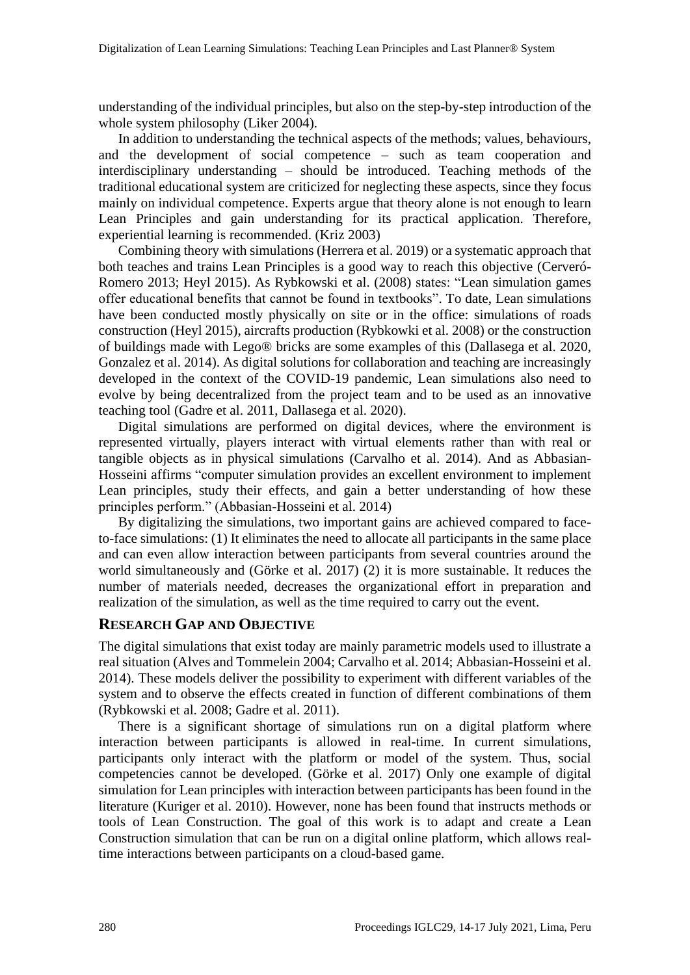understanding of the individual principles, but also on the step-by-step introduction of the whole system philosophy (Liker 2004).

In addition to understanding the technical aspects of the methods; values, behaviours, and the development of social competence – such as team cooperation and interdisciplinary understanding – should be introduced. Teaching methods of the traditional educational system are criticized for neglecting these aspects, since they focus mainly on individual competence. Experts argue that theory alone is not enough to learn Lean Principles and gain understanding for its practical application. Therefore, experiential learning is recommended. (Kriz 2003)

Combining theory with simulations (Herrera et al. 2019) or a systematic approach that both teaches and trains Lean Principles is a good way to reach this objective (Cerveró-Romero 2013; Heyl 2015). As Rybkowski et al. (2008) states: "Lean simulation games offer educational benefits that cannot be found in textbooks". To date, Lean simulations have been conducted mostly physically on site or in the office: simulations of roads construction (Heyl 2015), aircrafts production (Rybkowki et al. 2008) or the construction of buildings made with Lego® bricks are some examples of this (Dallasega et al. 2020, Gonzalez et al. 2014). As digital solutions for collaboration and teaching are increasingly developed in the context of the COVID-19 pandemic, Lean simulations also need to evolve by being decentralized from the project team and to be used as an innovative teaching tool (Gadre et al. 2011, Dallasega et al. 2020).

Digital simulations are performed on digital devices, where the environment is represented virtually, players interact with virtual elements rather than with real or tangible objects as in physical simulations (Carvalho et al. 2014). And as Abbasian-Hosseini affirms "computer simulation provides an excellent environment to implement Lean principles, study their effects, and gain a better understanding of how these principles perform." (Abbasian-Hosseini et al. 2014)

By digitalizing the simulations, two important gains are achieved compared to faceto-face simulations: (1) It eliminates the need to allocate all participants in the same place and can even allow interaction between participants from several countries around the world simultaneously and (Görke et al. 2017) (2) it is more sustainable. It reduces the number of materials needed, decreases the organizational effort in preparation and realization of the simulation, as well as the time required to carry out the event.

#### **RESEARCH GAP AND OBJECTIVE**

The digital simulations that exist today are mainly parametric models used to illustrate a real situation (Alves and Tommelein 2004; Carvalho et al. 2014; Abbasian-Hosseini et al. 2014). These models deliver the possibility to experiment with different variables of the system and to observe the effects created in function of different combinations of them (Rybkowski et al. 2008; Gadre et al. 2011).

There is a significant shortage of simulations run on a digital platform where interaction between participants is allowed in real-time. In current simulations, participants only interact with the platform or model of the system. Thus, social competencies cannot be developed. (Görke et al. 2017) Only one example of digital simulation for Lean principles with interaction between participants has been found in the literature (Kuriger et al. 2010). However, none has been found that instructs methods or tools of Lean Construction. The goal of this work is to adapt and create a Lean Construction simulation that can be run on a digital online platform, which allows realtime interactions between participants on a cloud-based game.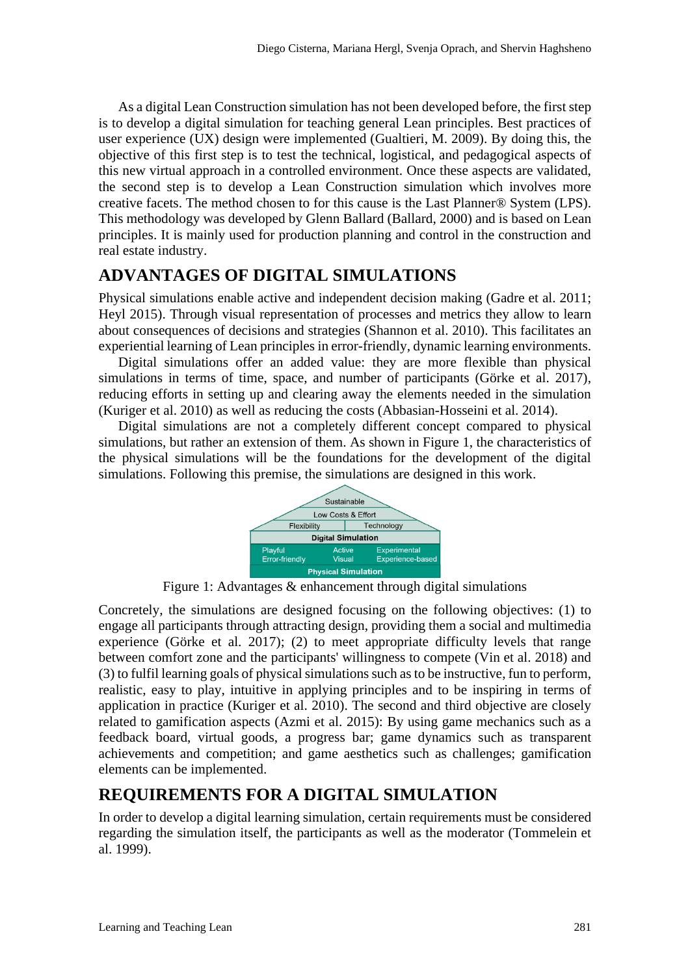As a digital Lean Construction simulation has not been developed before, the first step is to develop a digital simulation for teaching general Lean principles. Best practices of user experience (UX) design were implemented (Gualtieri, M. 2009). By doing this, the objective of this first step is to test the technical, logistical, and pedagogical aspects of this new virtual approach in a controlled environment. Once these aspects are validated, the second step is to develop a Lean Construction simulation which involves more creative facets. The method chosen to for this cause is the Last Planner® System (LPS). This methodology was developed by Glenn Ballard (Ballard, 2000) and is based on Lean principles. It is mainly used for production planning and control in the construction and real estate industry.

# **ADVANTAGES OF DIGITAL SIMULATIONS**

Physical simulations enable active and independent decision making (Gadre et al. 2011; Heyl 2015). Through visual representation of processes and metrics they allow to learn about consequences of decisions and strategies (Shannon et al. 2010). This facilitates an experiential learning of Lean principles in error-friendly, dynamic learning environments.

Digital simulations offer an added value: they are more flexible than physical simulations in terms of time, space, and number of participants (Görke et al. 2017), reducing efforts in setting up and clearing away the elements needed in the simulation (Kuriger et al. 2010) as well as reducing the costs (Abbasian-Hosseini et al. 2014).

Digital simulations are not a completely different concept compared to physical simulations, but rather an extension of them. As shown in [Figure 1,](#page-2-0) the characteristics of the physical simulations will be the foundations for the development of the digital simulations. Following this premise, the simulations are designed in this work.



Figure 1: Advantages & enhancement through digital simulations

<span id="page-2-0"></span>Concretely, the simulations are designed focusing on the following objectives: (1) to engage all participants through attracting design, providing them a social and multimedia experience (Görke et al. 2017); (2) to meet appropriate difficulty levels that range between comfort zone and the participants' willingness to compete (Vin et al. 2018) and (3) to fulfil learning goals of physical simulationssuch as to be instructive, fun to perform, realistic, easy to play, intuitive in applying principles and to be inspiring in terms of application in practice (Kuriger et al. 2010). The second and third objective are closely related to gamification aspects (Azmi et al. 2015): By using game mechanics such as a feedback board, virtual goods, a progress bar; game dynamics such as transparent achievements and competition; and game aesthetics such as challenges; gamification elements can be implemented.

# **REQUIREMENTS FOR A DIGITAL SIMULATION**

In order to develop a digital learning simulation, certain requirements must be considered regarding the simulation itself, the participants as well as the moderator (Tommelein et al. 1999).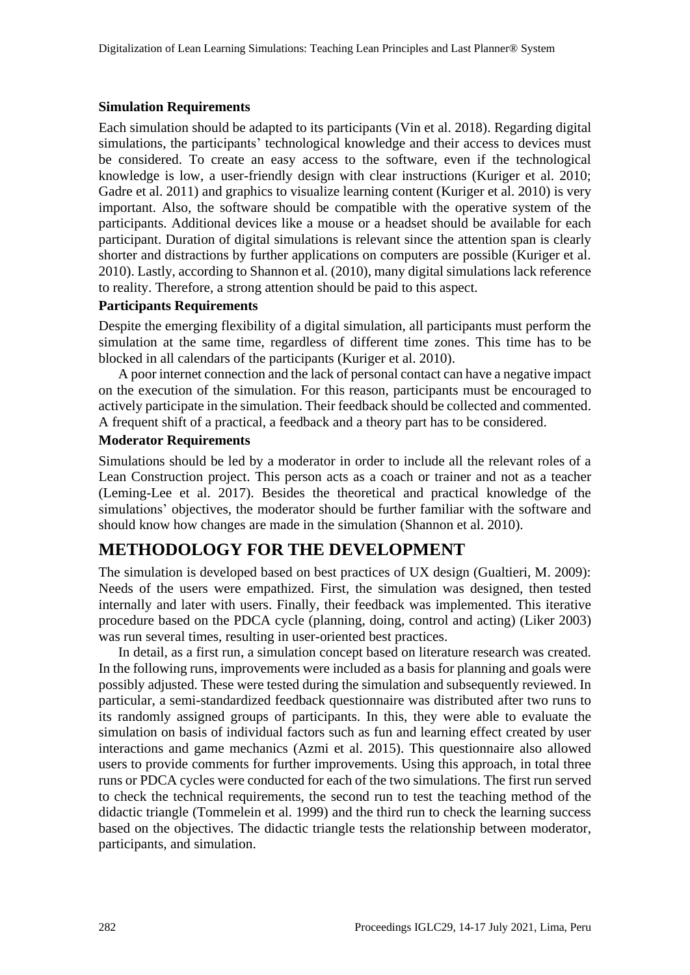#### **Simulation Requirements**

Each simulation should be adapted to its participants (Vin et al. 2018). Regarding digital simulations, the participants' technological knowledge and their access to devices must be considered. To create an easy access to the software, even if the technological knowledge is low, a user-friendly design with clear instructions (Kuriger et al. 2010; Gadre et al. 2011) and graphics to visualize learning content (Kuriger et al. 2010) is very important. Also, the software should be compatible with the operative system of the participants. Additional devices like a mouse or a headset should be available for each participant. Duration of digital simulations is relevant since the attention span is clearly shorter and distractions by further applications on computers are possible (Kuriger et al. 2010). Lastly, according to Shannon et al. (2010), many digital simulations lack reference to reality. Therefore, a strong attention should be paid to this aspect.

#### **Participants Requirements**

Despite the emerging flexibility of a digital simulation, all participants must perform the simulation at the same time, regardless of different time zones. This time has to be blocked in all calendars of the participants (Kuriger et al. 2010).

A poor internet connection and the lack of personal contact can have a negative impact on the execution of the simulation. For this reason, participants must be encouraged to actively participate in the simulation. Their feedback should be collected and commented. A frequent shift of a practical, a feedback and a theory part has to be considered.

#### **Moderator Requirements**

Simulations should be led by a moderator in order to include all the relevant roles of a Lean Construction project. This person acts as a coach or trainer and not as a teacher (Leming-Lee et al. 2017). Besides the theoretical and practical knowledge of the simulations' objectives, the moderator should be further familiar with the software and should know how changes are made in the simulation (Shannon et al. 2010).

### **METHODOLOGY FOR THE DEVELOPMENT**

The simulation is developed based on best practices of UX design (Gualtieri, M. 2009): Needs of the users were empathized. First, the simulation was designed, then tested internally and later with users. Finally, their feedback was implemented. This iterative procedure based on the PDCA cycle (planning, doing, control and acting) (Liker 2003) was run several times, resulting in user-oriented best practices.

In detail, as a first run, a simulation concept based on literature research was created. In the following runs, improvements were included as a basis for planning and goals were possibly adjusted. These were tested during the simulation and subsequently reviewed. In particular, a semi-standardized feedback questionnaire was distributed after two runs to its randomly assigned groups of participants. In this, they were able to evaluate the simulation on basis of individual factors such as fun and learning effect created by user interactions and game mechanics (Azmi et al. 2015). This questionnaire also allowed users to provide comments for further improvements. Using this approach, in total three runs or PDCA cycles were conducted for each of the two simulations. The first run served to check the technical requirements, the second run to test the teaching method of the didactic triangle (Tommelein et al. 1999) and the third run to check the learning success based on the objectives. The didactic triangle tests the relationship between moderator, participants, and simulation.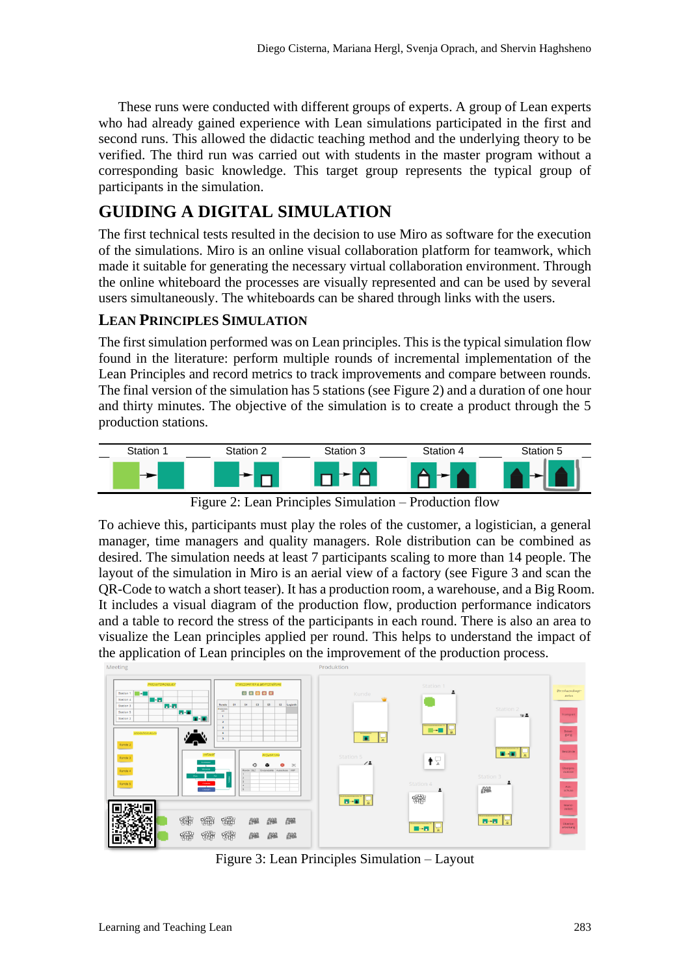These runs were conducted with different groups of experts. A group of Lean experts who had already gained experience with Lean simulations participated in the first and second runs. This allowed the didactic teaching method and the underlying theory to be verified. The third run was carried out with students in the master program without a corresponding basic knowledge. This target group represents the typical group of participants in the simulation.

# **GUIDING A DIGITAL SIMULATION**

The first technical tests resulted in the decision to use Miro as software for the execution of the simulations. Miro is an online visual collaboration platform for teamwork, which made it suitable for generating the necessary virtual collaboration environment. Through the online whiteboard the processes are visually represented and can be used by several users simultaneously. The whiteboards can be shared through links with the users.

### **LEAN PRINCIPLES SIMULATION**

The first simulation performed was on Lean principles. This is the typical simulation flow found in the literature: perform multiple rounds of incremental implementation of the Lean Principles and record metrics to track improvements and compare between rounds. The final version of the simulation has 5 stations (see [Figure 2\)](#page-4-0) and a duration of one hour and thirty minutes. The objective of the simulation is to create a product through the 5 production stations.



Figure 2: Lean Principles Simulation – Production flow

<span id="page-4-0"></span>To achieve this, participants must play the roles of the customer, a logistician, a general manager, time managers and quality managers. Role distribution can be combined as desired. The simulation needs at least 7 participants scaling to more than 14 people. The layout of the simulation in Miro is an aerial view of a factory (see [Figure 3](#page-4-1) and scan the QR-Code to watch a short teaser). It has a production room, a warehouse, and a Big Room. It includes a visual diagram of the production flow, production performance indicators and a table to record the stress of the participants in each round. There is also an area to visualize the Lean principles applied per round. This helps to understand the impact of the application of Lean principles on the improvement of the production process.



<span id="page-4-1"></span>Figure 3: Lean Principles Simulation – Layout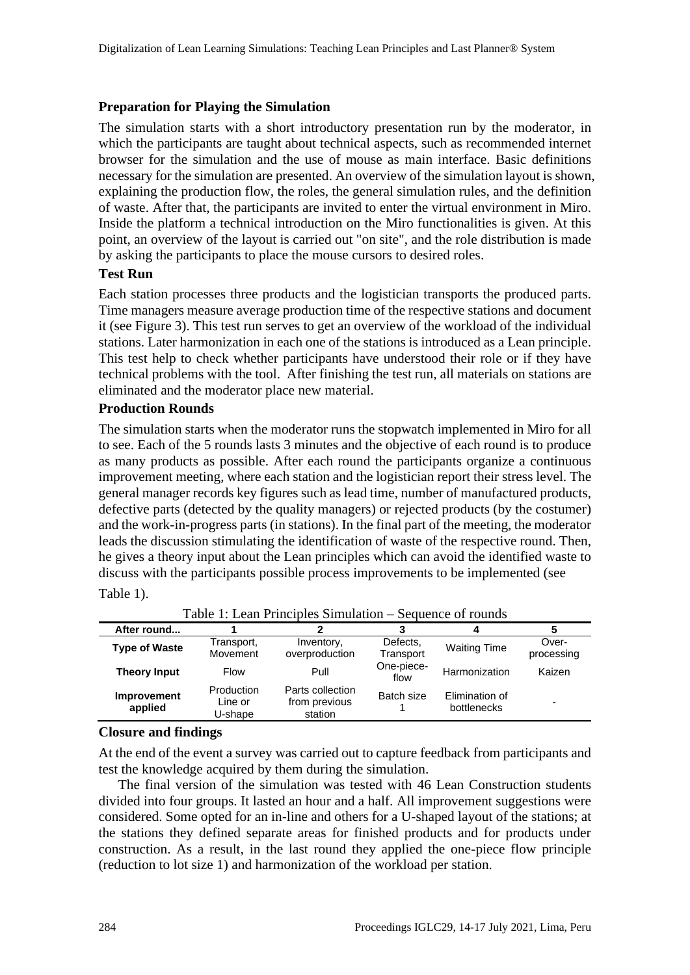#### **Preparation for Playing the Simulation**

The simulation starts with a short introductory presentation run by the moderator, in which the participants are taught about technical aspects, such as recommended internet browser for the simulation and the use of mouse as main interface. Basic definitions necessary for the simulation are presented. An overview of the simulation layout is shown, explaining the production flow, the roles, the general simulation rules, and the definition of waste. After that, the participants are invited to enter the virtual environment in Miro. Inside the platform a technical introduction on the Miro functionalities is given. At this point, an overview of the layout is carried out "on site", and the role distribution is made by asking the participants to place the mouse cursors to desired roles.

#### **Test Run**

Each station processes three products and the logistician transports the produced parts. Time managers measure average production time of the respective stations and document it (see [Figure 3\)](#page-4-1). This test run serves to get an overview of the workload of the individual stations. Later harmonization in each one of the stations is introduced as a Lean principle. This test help to check whether participants have understood their role or if they have technical problems with the tool. After finishing the test run, all materials on stations are eliminated and the moderator place new material.

#### **Production Rounds**

The simulation starts when the moderator runs the stopwatch implemented in Miro for all to see. Each of the 5 rounds lasts 3 minutes and the objective of each round is to produce as many products as possible. After each round the participants organize a continuous improvement meeting, where each station and the logistician report their stress level. The general manager records key figures such as lead time, number of manufactured products, defective parts (detected by the quality managers) or rejected products (by the costumer) and the work-in-progress parts (in stations). In the final part of the meeting, the moderator leads the discussion stimulating the identification of waste of the respective round. Then, he gives a theory input about the Lean principles which can avoid the identified waste to discuss with the participants possible process improvements to be implemented (see [Table](#page-5-0) 1).

| After round                   |                                  |                                              |                       |                               |                     |
|-------------------------------|----------------------------------|----------------------------------------------|-----------------------|-------------------------------|---------------------|
| <b>Type of Waste</b>          | Transport,<br>Movement           | Inventory,<br>overproduction                 | Defects,<br>Transport | <b>Waiting Time</b>           | Over-<br>processing |
| <b>Theory Input</b>           | <b>Flow</b>                      | Pull                                         | One-piece-<br>flow    | Harmonization                 | Kaizen              |
| <b>Improvement</b><br>applied | Production<br>Line or<br>U-shape | Parts collection<br>from previous<br>station | Batch size            | Elimination of<br>bottlenecks |                     |

<span id="page-5-0"></span>Table 1: Lean Principles Simulation – Sequence of rounds

#### **Closure and findings**

At the end of the event a survey was carried out to capture feedback from participants and test the knowledge acquired by them during the simulation.

The final version of the simulation was tested with 46 Lean Construction students divided into four groups. It lasted an hour and a half. All improvement suggestions were considered. Some opted for an in-line and others for a U-shaped layout of the stations; at the stations they defined separate areas for finished products and for products under construction. As a result, in the last round they applied the one-piece flow principle (reduction to lot size 1) and harmonization of the workload per station.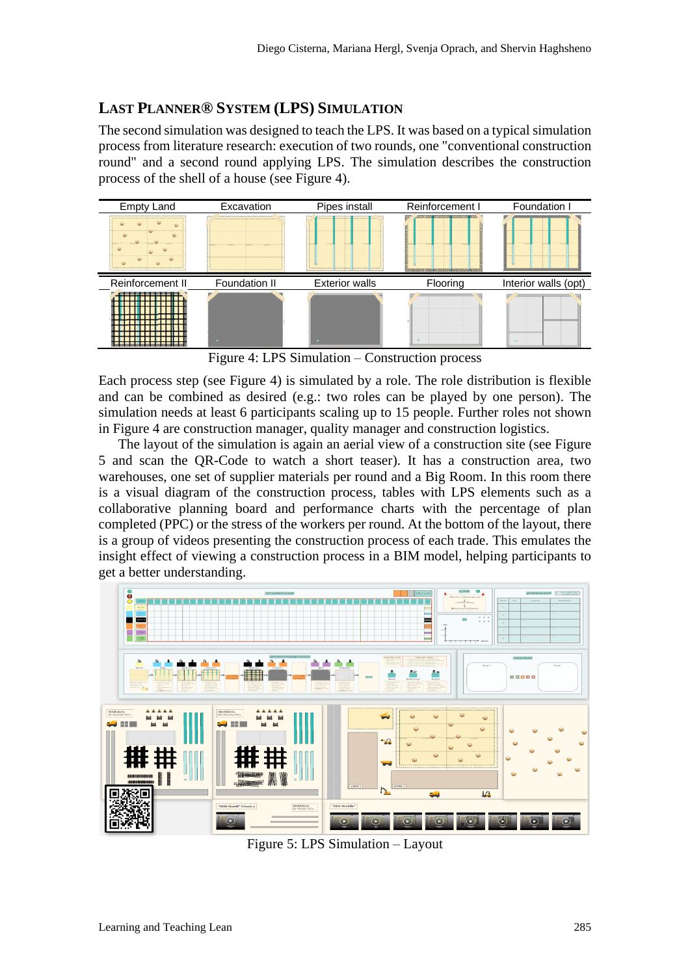### **LAST PLANNER® SYSTEM (LPS) SIMULATION**

The second simulation was designed to teach the LPS. It was based on a typical simulation process from literature research: execution of two rounds, one "conventional construction round" and a second round applying LPS. The simulation describes the construction process of the shell of a house (see [Figure 4\)](#page-6-0).



Figure 4: LPS Simulation – Construction process

<span id="page-6-0"></span>Each process step (see [Figure 4\)](#page-6-0) is simulated by a role. The role distribution is flexible and can be combined as desired (e.g.: two roles can be played by one person). The simulation needs at least 6 participants scaling up to 15 people. Further roles not shown in [Figure 4](#page-6-0) are construction manager, quality manager and construction logistics.

The layout of the simulation is again an aerial view of a construction site (see [Figure](#page-6-1)  [5](#page-6-1) and scan the QR-Code to watch a short teaser). It has a construction area, two warehouses, one set of supplier materials per round and a Big Room. In this room there is a visual diagram of the construction process, tables with LPS elements such as a collaborative planning board and performance charts with the percentage of plan completed (PPC) or the stress of the workers per round. At the bottom of the layout, there is a group of videos presenting the construction process of each trade. This emulates the insight effect of viewing a construction process in a BIM model, helping participants to get a better understanding.



<span id="page-6-1"></span>Figure 5: LPS Simulation – Layout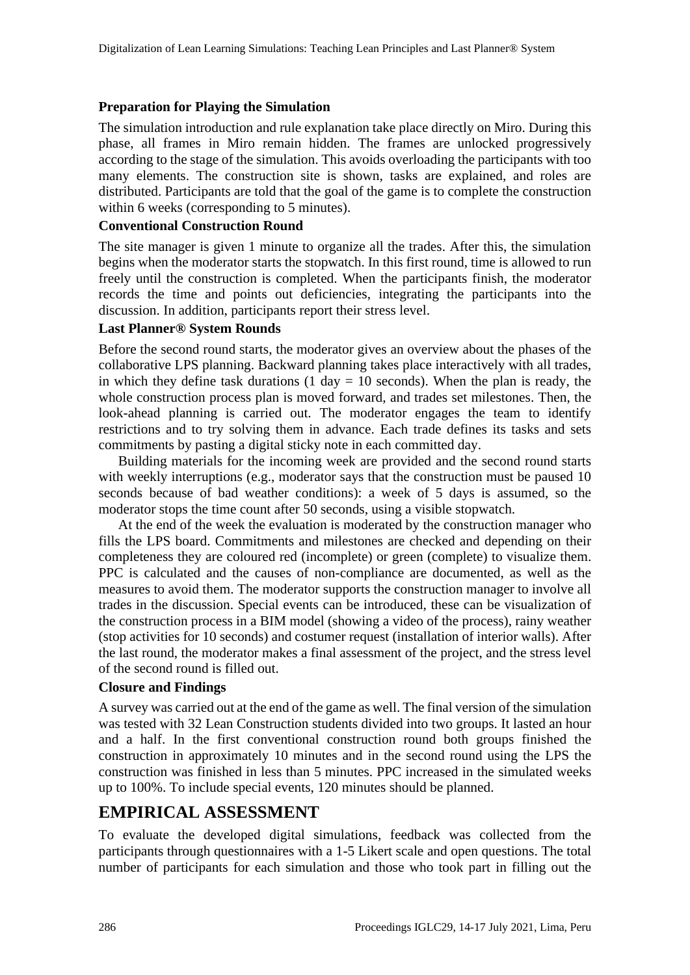#### **Preparation for Playing the Simulation**

The simulation introduction and rule explanation take place directly on Miro. During this phase, all frames in Miro remain hidden. The frames are unlocked progressively according to the stage of the simulation. This avoids overloading the participants with too many elements. The construction site is shown, tasks are explained, and roles are distributed. Participants are told that the goal of the game is to complete the construction within 6 weeks (corresponding to 5 minutes).

#### **Conventional Construction Round**

The site manager is given 1 minute to organize all the trades. After this, the simulation begins when the moderator starts the stopwatch. In this first round, time is allowed to run freely until the construction is completed. When the participants finish, the moderator records the time and points out deficiencies, integrating the participants into the discussion. In addition, participants report their stress level.

### **Last Planner® System Rounds**

Before the second round starts, the moderator gives an overview about the phases of the collaborative LPS planning. Backward planning takes place interactively with all trades, in which they define task durations  $(1 \text{ day} = 10 \text{ seconds})$ . When the plan is ready, the whole construction process plan is moved forward, and trades set milestones. Then, the look-ahead planning is carried out. The moderator engages the team to identify restrictions and to try solving them in advance. Each trade defines its tasks and sets commitments by pasting a digital sticky note in each committed day.

Building materials for the incoming week are provided and the second round starts with weekly interruptions (e.g., moderator says that the construction must be paused 10 seconds because of bad weather conditions): a week of 5 days is assumed, so the moderator stops the time count after 50 seconds, using a visible stopwatch.

At the end of the week the evaluation is moderated by the construction manager who fills the LPS board. Commitments and milestones are checked and depending on their completeness they are coloured red (incomplete) or green (complete) to visualize them. PPC is calculated and the causes of non-compliance are documented, as well as the measures to avoid them. The moderator supports the construction manager to involve all trades in the discussion. Special events can be introduced, these can be visualization of the construction process in a BIM model (showing a video of the process), rainy weather (stop activities for 10 seconds) and costumer request (installation of interior walls). After the last round, the moderator makes a final assessment of the project, and the stress level of the second round is filled out.

### **Closure and Findings**

A survey was carried out at the end of the game as well. The final version of the simulation was tested with 32 Lean Construction students divided into two groups. It lasted an hour and a half. In the first conventional construction round both groups finished the construction in approximately 10 minutes and in the second round using the LPS the construction was finished in less than 5 minutes. PPC increased in the simulated weeks up to 100%. To include special events, 120 minutes should be planned.

# **EMPIRICAL ASSESSMENT**

To evaluate the developed digital simulations, feedback was collected from the participants through questionnaires with a 1-5 Likert scale and open questions. The total number of participants for each simulation and those who took part in filling out the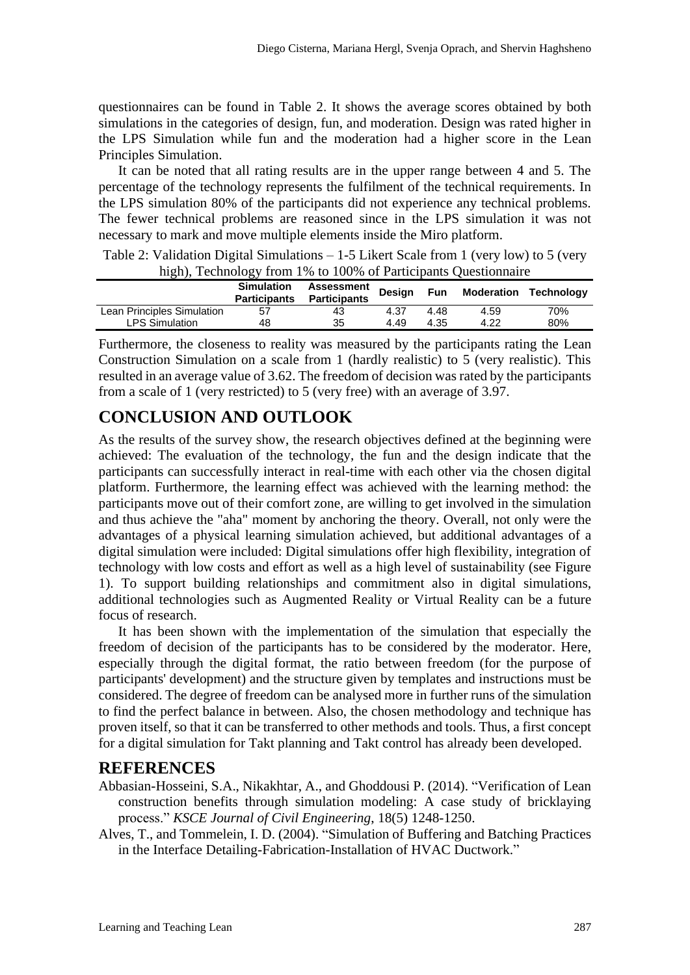questionnaires can be found in [Table 2.](#page-8-0) It shows the average scores obtained by both simulations in the categories of design, fun, and moderation. Design was rated higher in the LPS Simulation while fun and the moderation had a higher score in the Lean Principles Simulation.

It can be noted that all rating results are in the upper range between 4 and 5. The percentage of the technology represents the fulfilment of the technical requirements. In the LPS simulation 80% of the participants did not experience any technical problems. The fewer technical problems are reasoned since in the LPS simulation it was not necessary to mark and move multiple elements inside the Miro platform.

<span id="page-8-0"></span>Table 2: Validation Digital Simulations – 1-5 Likert Scale from 1 (very low) to 5 (very high), Technology from 1% to 100% of Participants Questionnaire

|                            | .                                        |                                                    |      |      |                                  |     |
|----------------------------|------------------------------------------|----------------------------------------------------|------|------|----------------------------------|-----|
|                            | <b>Simulation</b><br><b>Participants</b> | Assessment<br><b>Design</b><br><b>Participants</b> |      |      | <b>Fun</b> Moderation Technology |     |
| Lean Principles Simulation | 57                                       | 43                                                 | 4.37 | 4.48 | 4.59                             | 70% |
| <b>LPS Simulation</b>      | 48                                       | 35                                                 | 4.49 | 4.35 | 4.22                             | 80% |

Furthermore, the closeness to reality was measured by the participants rating the Lean Construction Simulation on a scale from 1 (hardly realistic) to 5 (very realistic). This resulted in an average value of 3.62. The freedom of decision was rated by the participants from a scale of 1 (very restricted) to 5 (very free) with an average of 3.97.

# **CONCLUSION AND OUTLOOK**

As the results of the survey show, the research objectives defined at the beginning were achieved: The evaluation of the technology, the fun and the design indicate that the participants can successfully interact in real-time with each other via the chosen digital platform. Furthermore, the learning effect was achieved with the learning method: the participants move out of their comfort zone, are willing to get involved in the simulation and thus achieve the "aha" moment by anchoring the theory. Overall, not only were the advantages of a physical learning simulation achieved, but additional advantages of a digital simulation were included: Digital simulations offer high flexibility, integration of technology with low costs and effort as well as a high level of sustainability (see Figure 1). To support building relationships and commitment also in digital simulations, additional technologies such as Augmented Reality or Virtual Reality can be a future focus of research.

It has been shown with the implementation of the simulation that especially the freedom of decision of the participants has to be considered by the moderator. Here, especially through the digital format, the ratio between freedom (for the purpose of participants' development) and the structure given by templates and instructions must be considered. The degree of freedom can be analysed more in further runs of the simulation to find the perfect balance in between. Also, the chosen methodology and technique has proven itself, so that it can be transferred to other methods and tools. Thus, a first concept for a digital simulation for Takt planning and Takt control has already been developed.

### **REFERENCES**

- Abbasian-Hosseini, S.A., Nikakhtar, A., and Ghoddousi P. (2014). "Verification of Lean construction benefits through simulation modeling: A case study of bricklaying process." *KSCE Journal of Civil Engineering*, 18(5) 1248-1250.
- Alves, T., and Tommelein, I. D. (2004). "Simulation of Buffering and Batching Practices in the Interface Detailing-Fabrication-Installation of HVAC Ductwork."